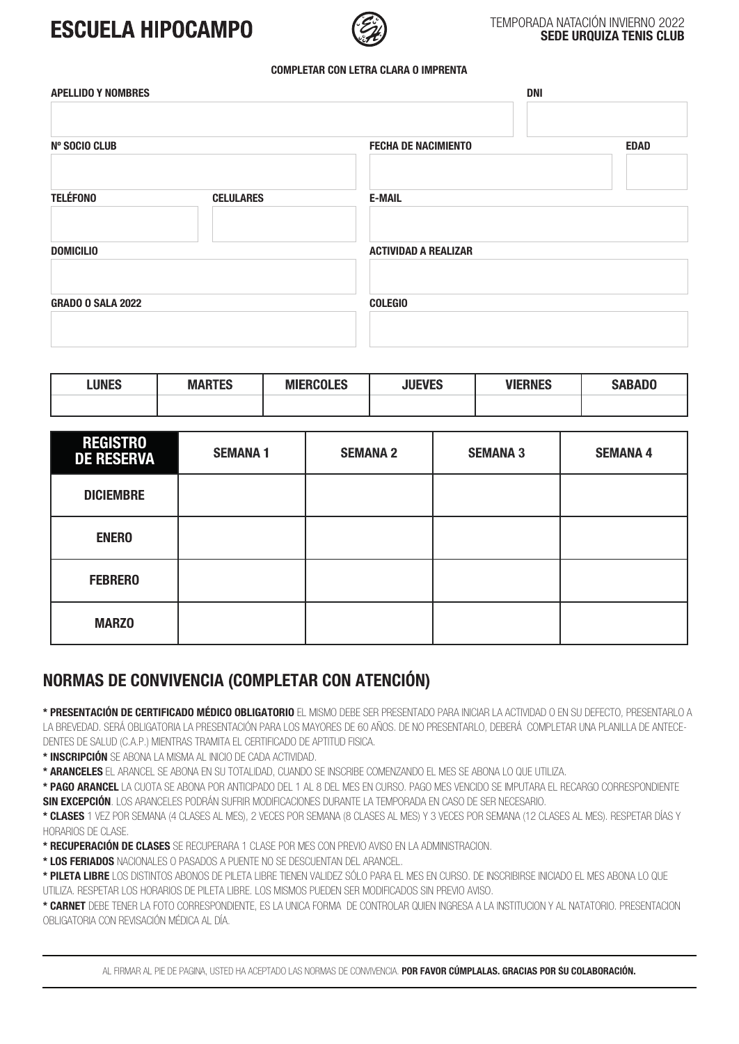## **ESCUELA HIPOCAMPO**



### TEMPORADA NATACIÓN INVIERNO 2022 **SEDE URQUIZA TENIS CLUB**

#### **COMPLETAR CON LETRA CLARA O IMPRENTA**

| <b>APELLIDO Y NOMBRES</b> |                  | <b>DNI</b>                  |             |  |
|---------------------------|------------------|-----------------------------|-------------|--|
|                           |                  |                             |             |  |
| <b>Nº SOCIO CLUB</b>      |                  | <b>FECHA DE NACIMIENTO</b>  | <b>EDAD</b> |  |
| <b>TELÉFONO</b>           | <b>CELULARES</b> | <b>E-MAIL</b>               |             |  |
|                           |                  |                             |             |  |
| <b>DOMICILIO</b>          |                  | <b>ACTIVIDAD A REALIZAR</b> |             |  |
| <b>GRADO O SALA 2022</b>  |                  | <b>COLEGIO</b>              |             |  |
|                           |                  |                             |             |  |
|                           |                  |                             |             |  |

| <b>LUNES</b> | <b>MARTES</b> | <b>MIERCOLES</b> | <b>JUEVES</b> | <b>VIERNES</b> | <b>SABADO</b> |
|--------------|---------------|------------------|---------------|----------------|---------------|
|              |               |                  |               |                |               |

| <b>REGISTRO</b><br><b>DE RESERVA</b> | <b>SEMANA1</b> | <b>SEMANA 2</b> | <b>SEMANA 3</b> | <b>SEMANA 4</b> |
|--------------------------------------|----------------|-----------------|-----------------|-----------------|
| <b>DICIEMBRE</b>                     |                |                 |                 |                 |
| <b>ENERO</b>                         |                |                 |                 |                 |
| <b>FEBRERO</b>                       |                |                 |                 |                 |
| <b>MARZO</b>                         |                |                 |                 |                 |

## **NORMAS DE CONVIVENCIA (COMPLETAR CON ATENCIÓN)**

**\* PRESENTACIÓN DE CERTIFICADO MÉDICO OBLIGATORIO** EL MISMO DEBE SER PRESENTADO PARA INICIAR LA ACTIVIDAD O EN SU DEFECTO, PRESENTARLO A LA BREVEDAD. SERÁ OBLIGATORIA LA PRESENTACIÓN PARA LOS MAYORES DE 60 AÑOS. DE NO PRESENTARLO, DEBERÁ COMPLETAR UNA PLANILLA DE ANTECE-DENTES DE SALUD (C.A.P.) MIENTRAS TRAMITA EL CERTIFICADO DE APTITUD FISICA.

**\* INSCRIPCIÓN** SE ABONA LA MISMA AL INICIO DE CADA ACTIVIDAD.

**\* ARANCELES** EL ARANCEL SE ABONA EN SU TOTALIDAD, CUANDO SE INSCRIBE COMENZANDO EL MES SE ABONA LO QUE UTILIZA.

**\* PAGO ARANCEL** LA CUOTA SE ABONA POR ANTICIPADO DEL 1 AL 8 DEL MES EN CURSO. PAGO MES VENCIDO SE IMPUTARA EL RECARGO CORRESPONDIENTE **SIN EXCEPCIÓN**. LOS ARANCELES PODRÁN SUFRIR MODIFICACIONES DURANTE LA TEMPORADA EN CASO DE SER NECESARIO.

**\* CLASES** 1 VEZ POR SEMANA (4 CLASES AL MES), 2 VECES POR SEMANA (8 CLASES AL MES) Y 3 VECES POR SEMANA (12 CLASES AL MES). RESPETAR DÍAS Y HORARIOS DE CLASE.

**\* RECUPERACIÓN DE CLASES** SE RECUPERARA 1 CLASE POR MES CON PREVIO AVISO EN LA ADMINISTRACION.

**\* LOS FERIADOS** NACIONALES O PASADOS A PUENTE NO SE DESCUENTAN DEL ARANCEL.

**\* PILETA LIBRE** LOS DISTINTOS ABONOS DE PILETA LIBRE TIENEN VALIDEZ SÓLO PARA EL MES EN CURSO. DE INSCRIBIRSE INICIADO EL MES ABONA LO QUE UTILIZA. RESPETAR LOS HORARIOS DE PILETA LIBRE. LOS MISMOS PUEDEN SER MODIFICADOS SIN PREVIO AVISO.

**\* CARNET** DEBE TENER LA FOTO CORRESPONDIENTE, ES LA UNICA FORMA DE CONTROLAR QUIEN INGRESA A LA INSTITUCION Y AL NATATORIO. PRESENTACION OBLIGATORIA CON REVISACIÓN MÉDICA AL DÍA.

AL FIRMAR AL PIE DE PAGINA, USTED HA ACEPTADO LAS NORMAS DE CONVIVENCIA. **POR FAVOR CÚMPLALAS. GRACIAS POR SU COLABORACIÓN.**